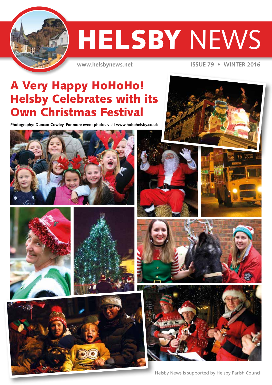

# **HELSBY NEWS**

**www.helsbynews.net ISSUE 79 • WINTER 2016**

# A Very Happy HoHoHo! **Helsby Celebrates with its** Own Christmas Festival

**Photography: Duncan Cowley. For more event photos visit www.hohohelsby.co.uk**

















Helsby News is supported by Helsby Parish Council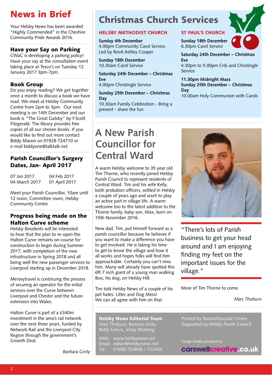# News in Brief

Your Helsby News has been awarded "Highly Commended" in the Cheshire Community Pride Awards 2016.

### Have your Say on Parking

CWaC is developing a parking policy! Have your say at the consultation event taking place at Tesco's on Tuesday 12 January 2017 3pm-7pm.

### Book Group

Do you enjoy reading? We get together once a month to discuss a book we have read. We meet at Helsby Community Centre from 2pm to 3pm. Our next meeting is on 14th December and our book is "The Great Gatsby" by F.Scott Fitzgerald. The library provides free copies of all our chosen books. If you would like to find out more contact Biddy Mason on 01928 724710 or e-mail biddyone@talktalk.net

### Parish Councillor's Surgery Dates, Jan- April 2017

07 Jan 2017 04 Feb 2017 04 March 2017 01 April 2017

Meet your Parish Councillor, 10am until 12 noon, Committee room, Helsby Community Centre

#### Progress being made on the Halton Curve scheme

Helsby Residents will be interested to hear that the plan to re-open the Halton Curve remains on-course for construction to begin during Summer 2017, with completion of the new infrastructure in Spring 2018 and all being well the new passenger services to Liverpool starting up in December 2018.

Merseytravel is continuing the process of securing an operator for the initial services over the Curve between Liverpool and Chester and the future extension into Wales.

Halton Curve is part of a £340m investment in the area's rail network over the next three years, funded by Network Rail and the Liverpool City Region through the government's Growth Deal.

*Barbara Ginty*

# Christmas Church Services

#### HELSBY METHODIST CHURCH

**Sunday 4th December** 4.00pm Community Carol Service. Led by Revd Ashley Cooper

**Sunday 18th December** 10.30am Carol Service

**Saturday 24th December – Christmas Eve**

4.00pm Christingle Service

#### **Sunday 25th December – Christmas Day**

10.30am Family Celebration - Bring a present - share the fun.

## ST PAUL'S CHURCH

**Sunday 18th December** 6.30pm Carol Service



**Saturday 24th December – Christmas Eve**  4.30pm to 5.00pm Crib and Christingle

Service **11.30pm Midnight Mass Sunday 25th December – Christmas Day**

10.00am Holy Communion with Carols

# **A New Parish Councillor for Central Ward**

A warm Helsby welcome to 35 year old Tim Thorne, who recently joined Helsby Parish Council to represent residents of Central Ward. Tim and his wife Kelly, both probation officers, settled in Helsby a couple of years ago and want to play an active part in village life. A warm welcome too to the latest addition to the Thorne family, baby son, Max, born on 15th November 2016.

New dad, Tim, put himself forward as a parish councillor because he believes if .<br>vou want to make a difference vou have to get involved. He is taking his time to get to know the village and how it all works and hopes folks will find him approachable. Certainly you can't miss him. Many will already have spotted this 6ft 7 inch giant of a young man walking Boo, his dog, on Helsby Hill.

Tim told Helsby News of a couple of his pet hates: Litter and Dog Mess! We can all agree with him on that.

Helsby News Editorial Team Marj Thoburn, Barbara Ginty, Betty Grieve, Vicky Mohring

Web: www.helsbynews.net Email: editor@helsbynews.net Tel: 01928 724848 / 722304



"There's lots of Parish business to get your head around and I am enjoying finding my feet on the important issues for the village."

More of Tim Thorne to come.

*Marj Thoburn*

Printed by NeuroMuscular Centre Supported by Helsby Parish Council

Design kindly provided by

carswellcreative.co.uk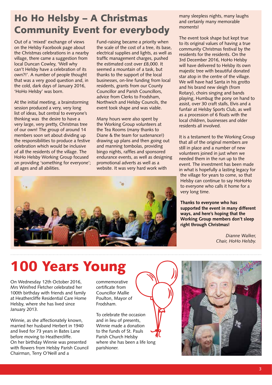# Ho Ho Helsby – A Christmas Community Event for everybody

Out of a 'mixed' exchange of views on the Helsby Facebook page about the Christmas celebrations in a nearby village, there came a suggestion from local Duncan Cowley, 'Well why can't Helsby have a celebration of its own?!'. A number of people thought that was a very good question and, in the cold, dark days of January 2016, 'HoHo Helsby' was born.

At the initial meeting, a brainstorming session produced a very, very long list of ideas, but central to everyone's thinking was the desire to have a very large, very pretty, Christmas tree of our own! The group of around 14 members soon set about dividing up the responsibilities to produce a festive celebration which would be inclusive of all the residents of the village. The HoHo Helsby Working Group focused on providing 'something for everyone'; all ages and all abilities.

Fund-raising became a priority when the scale of the cost of a tree, its base, electrical supplies and lights, as well as traffic management charges, pushed the estimated cost over £8,000. It seemed a mountain of a task, but thanks to the support of the local businesses, on-line funding from local residents, grants from our County Councillor and Parish Councillors, advice from Clerks to Frodsham, Northwich and Helsby Councils, the event took shape and was viable.

Many hours were also spent by the Working Group volunteers at the Tea Rooms (many thanks to Diane & the team for sustenance!) drawing up plans and then going out and manning tombolas, providing bingo nights, raffles and sponsored endurance events, as well as designing promotional adverts as well as a website. It was very hard work with



many sleepless nights, many laughs and certainly many memorable moments!

The event took shape but kept true to its original values of having a true community Christmas festival by the residents for the residents. On the 3rd December 2016, HoHo Helsby will have delivered to Helsby its own majestic tree with beautiful donated star atop in the centre of the village. We will have had Santa in his grotto and his brand new sleigh (from Rotary), choirs singing and bands playing, Humbug the pony on hand to assist, over 30 craft stalls, Elvis and a funfair at Helsby Sports Club, as well as a procession of 6 floats with the local children, businesses and older residents all involved.

It is a testament to the Working Group that all of the original members are still in place and a number of new volunteers joined in just when we needed them in the run up to the event. The investment has been made in what is hopefully a lasting legacy for the village for years to come, so that Helsby can continue to say HoHoHo to everyone who calls it home for a very long time.

**Thanks to everyone who has supported the event in many different ways, and here's hoping that the Working Group members don't sleep right through Christmas!**

> *Dianne Walker, Chair, HoHo Helsby.*

# 100 Years Young

On Wednesday 12th October 2016, Mrs Winifred Fletcher celebrated her 100th birthday with friends and family at Heathercliffe Residential Care Home Helsby, where she has lived since January 2013.

Winnie, as she affectionately known, married her husband Herbert in 1940 and lived for 73 years in Bates Lane before moving to Heathercliffe. On her birthday Winnie was presented with flowers from Helsby Parish Council Chairman, Terry O'Neill and a

commemorative certificate from Councillor Mallie Poulton, Mayor of Frodsham.

To celebrate the occasion and in lieu of presents, Winnie made a donation to the funds of St. Pauls Parish Church Helsby where she has been a life long parishioner.

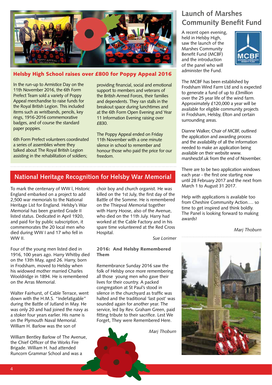

#### Helsby High School raises over £800 for Poppy Appeal 2016

In the run-up to Armistice Day on the 11th November 2016, the 6th Form Prefect Team sold a variety of Poppy Appeal merchandise to raise funds for the Royal British Legion. This included items such as wristbands, pencils, key rings, 1916-2016 commemorative badges, and of course the standard paper poppies.

6th Form Prefect volunteers coordinated a series of assemblies where they talked about The Royal British Legion assisting in the rehabilitation of soldiers;

providing financial, social and emotional support to members and veterans of the British Armed Forces, their families and dependents. They ran stalls in the breakout space during lunchtimes and at the 6th Form Open Evening and Year 11 Information Evening raising over £830.

The Poppy Appeal ended on Friday 11th November with a one minute silence in school to remember and honour those who paid the price for our freedom.

## **National Heritage Recognition for Helsby War Memorial**

To mark the centenary of WW l, Historic England embarked on a project to add 2,500 war memorials to the National Heritage List for England. Helsby's War Memorial has been granted Grade II listed status. Dedicated in April 1920, and paid for by public subscription, it commemorates the 20 local men who died during WW I and 17 who fell in WW II.

Four of the young men listed died in 1916, 100 years ago. Harry Whitby died on the 13th May, aged 26. Harry, born in Frodsham, moved to Helsby when his widowed mother married Charles Wooldridge in 1894. He is remembered on the Arras Memorial.

Walter Fairhurst, of Cable Terrace, went down with the H.M.S. "Indefatigable" during the Battle of Jutland in May. He was only 20 and had joined the navy as a stoker four years earlier. His name is on the Plymouth Naval Memorial. William H. Barlow was the son of

William Bentley Barlow of The Avenue, the Chief Officer of the Works Fire Brigade. William H. had attended Runcorn Grammar School and was a

choir boy and church organist. He was killed on the 1st July, the first day of the Battle of the Somme. He is remembered on the Thiepval Memorial together with Harry Hoose, also of the Avenue, who died on the 11th July. Harry had worked at the Cable Factory and in his spare time volunteered at the Red Cross Hospital.

*Sue Lorimer*

#### 2016: And Helsby Remembered Them

Remembrance Sunday 2016 saw the folk of Helsby once more remembering all those young men who gave their lives for their country. A packed congregation at St Paul's stood in silence in the churchyard as traffic was halted and the traditional 'last post' was sounded again for another year. The service, led by Rev. Graham Green, paid fitting tribute to their sacrifice. Lest We Forget, They were Remembered Here.



# **Launch of Marshes Community Benefit Fund**

A recent open evening, held in Helsby High, saw the launch of the Marshes Community Benefit Fund (MCBF) and the introduction of the panel who will administer the Fund.



The MCBF has been established by Frodsham Wind Farm Ltd and is expected to generate a fund of up to £3million over the 25 year life of the wind farm. Approximately £120,000 a year will be available for eligible community projects in Frodsham, Helsby, Elton and certain surrounding areas.

Dianne Walker, Chair of MCBF, outlined the application and awarding process and the availability of all the information needed to make an application being available on their website www. marshescbf.uk from the end of November.

There are to be two application windows each year - the first one starting now until 28 February 2017 and the next from March 1 to August 31 2017.

Help with applications is available too from Cheshire Community Action…. so time to get inspired and think boldly. The Panel is looking forward to making awards!

*Marj Thoburn*

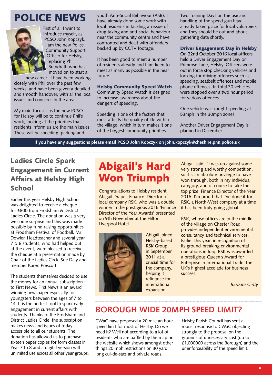# POLICE NEWS



First of all I want to introduce myself, as PCSO John Kopczyk. I am the new Police Community Support Officer for Helsby, replacing Phil Brandreth who has moved on to start a

new career. I have been working closely with Phil over the past few weeks, and have been given a detailed and smooth handover, with all the local issues and concerns in the area.

My main focuses as the new PCSO for Helsby will be to continue Phil's work, looking at the priorities that residents inform us are the main issues. These will be speeding, parking and

youth Anti-Social Behaviour (ASB). I have already done some work with local residents in tackling an issue of drug taking and anti-social behaviour near the community centre and have confronted and dealt with offenders backed up by CCTV footage.

It has been good to meet a number of residents already and I am keen to meet as many as possible in the near future.

Helsby Community Speed Watch Community Speed Watch is designed to increase awareness about the dangers of speeding.

Speeding is one of the factors that most affects the quality of life within the village, which in turn makes it one of the biggest community priorities.

Two Training Days on the use and handling of the speed gun have already taken place for local volunteers and they should be out and about gathering data shortly.

#### Driver Engagement Day in Helsby

On 22nd October 2016 local officers held a Driver Engagement Day on Primrose Lane, Helsby. Officers were out in force stop checking vehicles and looking for driving offences such as speeding, seatbelt offences and mobile phone offences. In total 30 vehicles were stopped over a two hour period for various offences.

One vehicle was caught speeding at 53mph in the 30mph zone!

Another Driver Engagement Day is planned in December.

 **If you have any suggestions please email PCSO John Kopczyk on john.kopczyk@cheshire.pnn.police.uk**

# Ladies Circle Spark Engagement in Current Affairs at Helsby High School

Earlier this year Helsby High School was delighted to receive a cheque for £800 from Frodsham & District Ladies Circle. The donation was a very welcome surprise and this was made possible by fund raising opportunities at Frodsham Festival of Football. Mr Dowler, Headteacher and several year 7 & 8 students, who had helped out at the event, were pleased to receive the cheque at a presentation made by Chair of the Ladies Circle Sue Daly and member Karen Prescott.

The students themselves decided to use the money for an annual subscription to First News. First News is an award winning newspaper especially for youngsters between the ages of 7 to 14. It is the perfect tool to spark early engagement in current affairs with students. Thanks to the Frodsham and District Ladies Circle, the subscription makes news and issues of today accessible to all our students. The donation has allowed us to purchase sixteen paper copies for form classes in Year 7 to 8 and a digital version with unlimited use across all other year groups.

# Abigail's Hard Won Triumph

Congratulations to Helsby resident Abigail Draper, Finance Director of local company RSK, who was a double winner in the prestigious 2016 'Finance Director of the Year Awards' presented on 9th November at the Hilton Liverpool Hotel.



Abigail joined Helsby-based RSK Group in September 2011 at a crucial time for the company, helping it refinance for international expansion.

Abigail said; "I was up against some very strong and worthy competition, so it is an absolute privilege to have won through, both in my individual category, and of course to take the top prize, Finance Director of the Year 2016. I'm proud that I've done it for RSK, a North-West company at a time it has been truly going global.

RSK, whose offices are in the middle of the village on Chester Road, provides independent environmental consultancy and technical services. Earlier this year, in recognition of its ground-breaking environmental operations in Iraq, RSK was awarded a prestigious Queen's Award for Enterprise in International Trade, the UK's highest accolade for business success.

*Barbara Ginty*

## **BOROUGH WIDE 20MPH SPEED LIMIT?**

CWaC have proposed a 20 mile an hour speed limit for most of Helsby. Do we need it? Well not according to a lot of residents who are baffled by the map on the website which shows amongst other things 20 mph restrictions on 30 yard long cul-de-sacs and private roads.

Helsby Parish Council has sent a robust response to CWaC objecting strongly to the proposal on the grounds of unnecessary cost (up to £1,000000 across the Borough) and the unenforceability of the speed limit.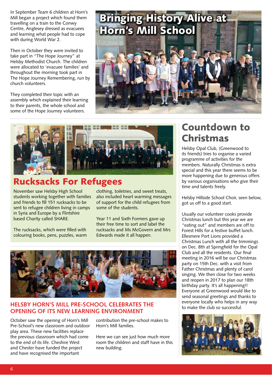In September Team 6 children at Horn's Mill began a project which found them travelling on a train to the Conwy Centre, Anglesey dressed as evacuees and learning what people had to cope with during World War 2.

Then in October they were invited to take part in "The Hope Journey" at Helsby Methodist Church. The children were allocated to 'evacuee families' and throughout the morning took part in The Hope Journey Remembering, run by church volunteers.

They completed their topic with an assembly which explained their learning to their parents, the whole school and some of the Hope Journey volunteers.





# Rucksacks For Refugees

November saw Helsby High School students working together with families and friends to fill 151 rucksacks to be sent to refugee children living in camps in Syria and Europe by a Flintshire based Charity called SHARE.

The rucksacks, which were filled with colouring books, pens, puzzles, warm

clothing, toiletries, and sweet treats, also included heart warming messages of support for the child refugees from some of the students.

Year 11 and Sixth Formers gave up their free time to sort and label the rucksacks and Ms McGovern and Mrs Edwards made it all happen.



#### to make the club so successful*.* **HELSBY HORN'S MILL PRE-SCHOOL CELEBRATES THE OPENING OF ITS NEW LEARNING ENVIRONMENT**

October saw the opening of Horn's Mill Pre-School's new classroom and outdoor play area. These new facilities replace the previous classroom which had come to the end of its life. Cheshire West and Chester have funded the project and have recognised the important

contribution the pre-school makes to Horn's Mill families.

Here we can see just how much more room the children and staff have in this new building.

# Countdown to Christmas

Helsby Opal Club, (Greenwood to its friends) tries to organise a varied programme of activities for the members. Naturally Christmas is extra special and this year there seems to be more happening due to generous offers by various organisations who give their time and talents freely.

Helsby Hillside School Choir, seen below, got us off to a good start.

Usually our volunteer cooks provide Christmas lunch but this year we are "eating out" and members are off to Forest Hills for a festive buffet lunch. Ellesmere Port Lions provided a Christmas Lunch with all the trimmings on Dec. 8th at Springfield for the Opal Club and all the residents. Our final meeting in 2016 will be our Christmas party on 15th Dec. with a visit from Father Christmas and plenty of carol singing. We then close for two weeks and reopen in 2017 to plan our 18th birthday party. It's all happening!! Everyone at Greenwood would like to send seasonal greetings and thanks to everyone locally who helps in any way<br>to make the club so successful

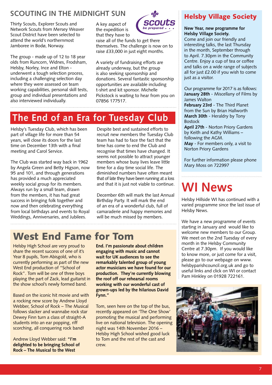# **SCOUTING IN THE MIDNIGHT SUN**

Thirty Scouts, Explorer Scouts and Network Scouts from Mersey Weaver Scout District have been selected to attend the world's northernmost Jamboree in Bodø, Norway.

The group - made up of 12 to 18 year olds from Runcorn, Widnes, Frodsham, Helsby, Norley, Ince and Elton underwent a tough selection process, including a challenging selection day where they were assessed on team working capabilities, personal skill tests, group and individual presentations and also interviewed individually.

A key aspect of the expedition is that they have to



raise all of the funds to get there themselves. The challenge is now on to raise £33,000 in just eight months.

A variety of fundraising efforts are already underway, but the group is also seeking sponsorship and donations. Several fantastic sponsorship opportunities are available including t-shirt and kit sponsor. Michelle Pickstock is waiting to hear from you on 07856 177517.

# **The End of an Era for Tuesday Club**

Helsby's Tuesday Club, which has been part of village life for more than 54 years, will close its doors for the last time on December 13th with a final meeting and Carol Service.

The Club was started way back in 1962 by Angela Green and Betty Higson, now 95 and 101, and through generations has provided a much appreciated weekly social group for its members. Always run by a small team, drawn from the members, it has had great success in bringing folk together and now and then celebrating everything from local birthdays and events to Royal Weddings, Anniversaries, and Jubilees.

Despite best and sustained efforts to recruit new members the Tuesday Club team has had to face the fact that the time has come to end the Club and recognise that times have changed. It seems not possible to attract younger members whose busy lives leave little time for a day time social life. The diminished numbers have often meant that of late they have been running at a loss and that it is just not viable to continue.

December 6th will mark the last Annual Birthday Party. It will mark the end of an era of a wonderful club, full of camaraderie and happy memories and will be much missed by members.

# West End Fame for Tom

Helsby High School are very proud to share the recent success of one of it's Year 8 pupils, Tom Abisgold, who is currently performing as part of the new West End production of "School of Rock". Tom will be one of three boys playing the part of Zack, lead guitarist in the show school's newly formed band.

Based on the iconic hit movie and with a rocking new score by Andrew Lloyd Webber, School of Rock – The Musical follows slacker and wannabe rock star Dewey Finn turn a class of straight-A students into an ear popping, riff scorching, all conquering rock band!

Andrew Lloyd Webber said: **"I'm delighted to be bringing School of Rock – The Musical to the West** 

**End. I'm passionate about children engaging with music and cannot wait for UK audiences to see the remarkably talented group of young actor musicians we have found for our production. They're currently blowing the roof off our rehearsal rooms working with our wonderful cast of grown-ups led by the hilarious David Fynn."**

Tom, seen here on the top of the bus, recently appeared on 'The One Show' promoting the musical and performing live on national television. The opening night was 14th November 2016 – Helsby High School wished good luck to Tom and the rest of the cast and crew.

## Helsby Village Society

#### **New Year, new programme for Helsby Village Society.**

Come and join our friendly and interesting talks, the last Thursday in the month, September through to April. 7.30pm in the Community Centre. Enjoy a cup of tea or coffee and talks on a wide range of subjects all for just £2.00 if you wish to come just as a visitor.

Our programme for 2017 is as follows: **January 28th** - Miscellany of Films by James Walton

**February 23rd** - The Third Planet from the Sun by Brian Hallworth **March 30th** - Heraldry by Tony Bostock

**April 27th** - Norton Priory Gardens by Keith and Kathy Williams – following the AGM. **May** - For members only, a visit to Norton Priory Gardens

For further information please phone Mary Moss on 722997

# **WI News**

Helsby Hillside WI has continued with a varied programme since the last issue of Helsby News.

We have a new programme of events starting in January and would like to welcome new members to our Group. We meet on the 2nd Tuesday of every month in the Helsby Community Centre at 7.30pm. If you would like to know more, or just come for a visit, please go to our webpage on www. helsbyparishcouncil.org.uk and go to useful links and click on WI or contact Pam Hinkley on 01928 722161.